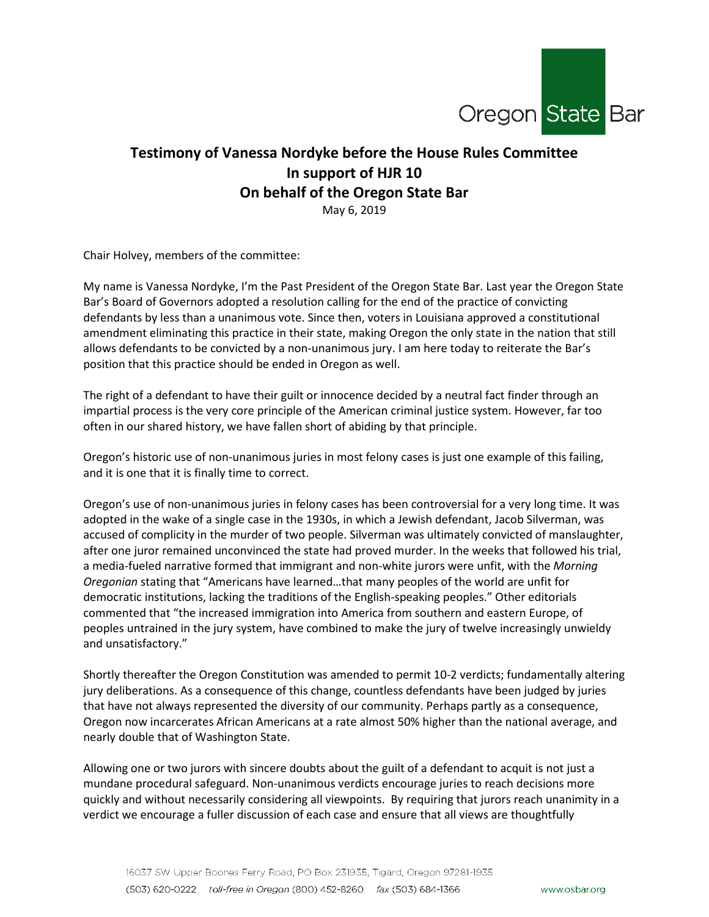

## **Testimony of Vanessa Nordyke before the House Rules Committee In support of HJR 10 On behalf of the Oregon State Bar**

May 6, 2019

Chair Holvey, members of the committee:

My name is Vanessa Nordyke, I'm the Past President of the Oregon State Bar. Last year the Oregon State Bar's Board of Governors adopted a resolution calling for the end of the practice of convicting defendants by less than a unanimous vote. Since then, voters in Louisiana approved a constitutional amendment eliminating this practice in their state, making Oregon the only state in the nation that still allows defendants to be convicted by a non-unanimous jury. I am here today to reiterate the Bar's position that this practice should be ended in Oregon as well.

The right of a defendant to have their guilt or innocence decided by a neutral fact finder through an impartial process is the very core principle of the American criminal justice system. However, far too often in our shared history, we have fallen short of abiding by that principle.

Oregon's historic use of non-unanimous juries in most felony cases is just one example of this failing, and it is one that it is finally time to correct.

Oregon's use of non-unanimous juries in felony cases has been controversial for a very long time. It was adopted in the wake of a single case in the 1930s, in which a Jewish defendant, Jacob Silverman, was accused of complicity in the murder of two people. Silverman was ultimately convicted of manslaughter, after one juror remained unconvinced the state had proved murder. In the weeks that followed his trial, a media-fueled narrative formed that immigrant and non-white jurors were unfit, with the *Morning Oregonian* stating that "Americans have learned…that many peoples of the world are unfit for democratic institutions, lacking the traditions of the English-speaking peoples." Other editorials commented that "the increased immigration into America from southern and eastern Europe, of peoples untrained in the jury system, have combined to make the jury of twelve increasingly unwieldy and unsatisfactory."

Shortly thereafter the Oregon Constitution was amended to permit 10-2 verdicts; fundamentally altering jury deliberations. As a consequence of this change, countless defendants have been judged by juries that have not always represented the diversity of our community. Perhaps partly as a consequence, Oregon now incarcerates African Americans at a rate almost 50% higher than the national average, and nearly double that of Washington State.

Allowing one or two jurors with sincere doubts about the guilt of a defendant to acquit is not just a mundane procedural safeguard. Non-unanimous verdicts encourage juries to reach decisions more quickly and without necessarily considering all viewpoints. By requiring that jurors reach unanimity in a verdict we encourage a fuller discussion of each case and ensure that all views are thoughtfully